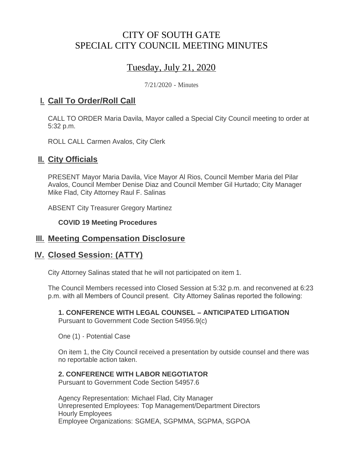# CITY OF SOUTH GATE SPECIAL CITY COUNCIL MEETING MINUTES

# Tuesday, July 21, 2020

7/21/2020 - Minutes

### <u>**I. Call To Order/Roll Call**</u>

CALL TO ORDER Maria Davila, Mayor called a Special City Council meeting to order at 5:32 p.m.

ROLL CALL Carmen Avalos, City Clerk

## **II.** City Officials

PRESENT Mayor Maria Davila, Vice Mayor Al Rios, Council Member Maria del Pilar Avalos, Council Member Denise Diaz and Council Member Gil Hurtado; City Manager Mike Flad, City Attorney Raul F. Salinas

ABSENT City Treasurer Gregory Martinez

#### **COVID 19 Meeting Procedures**

### **Meeting Compensation Disclosure III.**

### **Closed Session: (ATTY) IV.**

City Attorney Salinas stated that he will not participated on item 1.

The Council Members recessed into Closed Session at 5:32 p.m. and reconvened at 6:23 p.m. with all Members of Council present. City Attorney Salinas reported the following:

#### **1. CONFERENCE WITH LEGAL COUNSEL – ANTICIPATED LITIGATION**

Pursuant to Government Code Section 54956.9(c)

One (1) - Potential Case

On item 1, the City Council received a presentation by outside counsel and there was no reportable action taken.

#### **2. CONFERENCE WITH LABOR NEGOTIATOR**

Pursuant to Government Code Section 54957.6

Agency Representation: Michael Flad, City Manager Unrepresented Employees: Top Management/Department Directors Hourly Employees Employee Organizations: SGMEA, SGPMMA, SGPMA, SGPOA